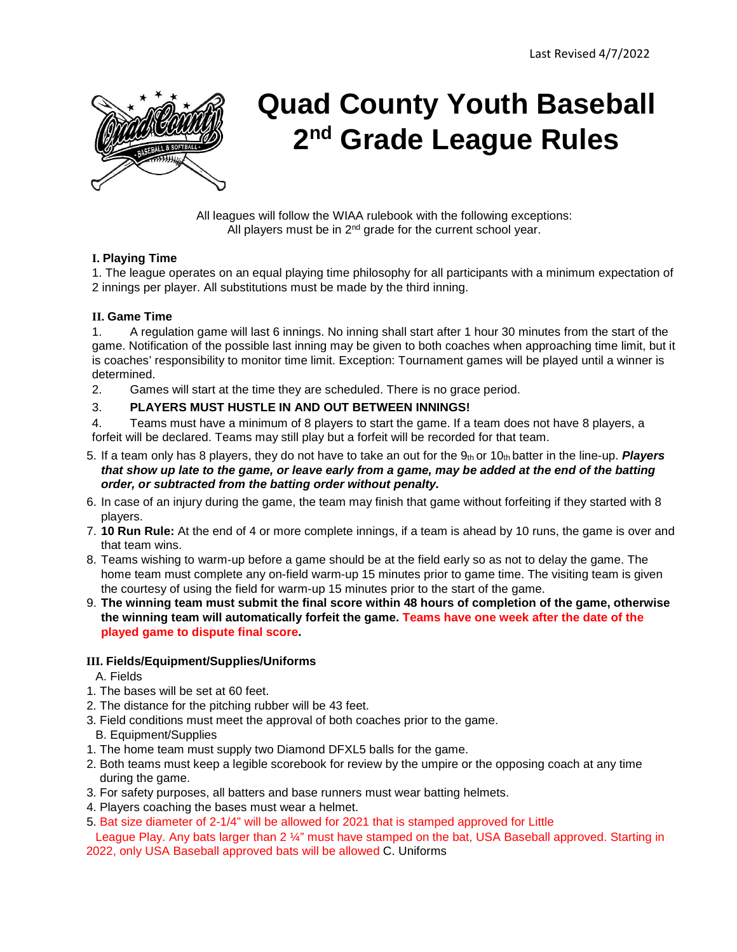

# **Quad County Youth Baseball 2nd Grade League Rules**

All leagues will follow the WIAA rulebook with the following exceptions: All players must be in  $2^{nd}$  grade for the current school year.

#### **I. Playing Time**

1. The league operates on an equal playing time philosophy for all participants with a minimum expectation of 2 innings per player. All substitutions must be made by the third inning.

#### **II. Game Time**

1. A regulation game will last 6 innings. No inning shall start after 1 hour 30 minutes from the start of the game. Notification of the possible last inning may be given to both coaches when approaching time limit, but it is coaches' responsibility to monitor time limit. Exception: Tournament games will be played until a winner is determined.

2. Games will start at the time they are scheduled. There is no grace period.

#### 3. **PLAYERS MUST HUSTLE IN AND OUT BETWEEN INNINGS!**

4. Teams must have a minimum of 8 players to start the game. If a team does not have 8 players, a forfeit will be declared. Teams may still play but a forfeit will be recorded for that team.

- 5. If a team only has 8 players, they do not have to take an out for the 9th or 10th batter in the line-up. *Players that show up late to the game, or leave early from a game, may be added at the end of the batting order, or subtracted from the batting order without penalty.*
- 6. In case of an injury during the game, the team may finish that game without forfeiting if they started with 8 players.
- 7. **10 Run Rule:** At the end of 4 or more complete innings, if a team is ahead by 10 runs, the game is over and that team wins.
- 8. Teams wishing to warm-up before a game should be at the field early so as not to delay the game. The home team must complete any on-field warm-up 15 minutes prior to game time. The visiting team is given the courtesy of using the field for warm-up 15 minutes prior to the start of the game.
- 9. **The winning team must submit the final score within 48 hours of completion of the game, otherwise the winning team will automatically forfeit the game. Teams have one week after the date of the played game to dispute final score.**

#### **III. Fields/Equipment/Supplies/Uniforms**

A. Fields

- 1. The bases will be set at 60 feet.
- 2. The distance for the pitching rubber will be 43 feet.
- 3. Field conditions must meet the approval of both coaches prior to the game.
- B. Equipment/Supplies
- 1. The home team must supply two Diamond DFXL5 balls for the game.
- 2. Both teams must keep a legible scorebook for review by the umpire or the opposing coach at any time during the game.
- 3. For safety purposes, all batters and base runners must wear batting helmets.
- 4. Players coaching the bases must wear a helmet.
- 5. Bat size diameter of 2-1/4" will be allowed for 2021 that is stamped approved for Little

League Play. Any bats larger than 2 1/4" must have stamped on the bat, USA Baseball approved. Starting in 2022, only USA Baseball approved bats will be allowed C. Uniforms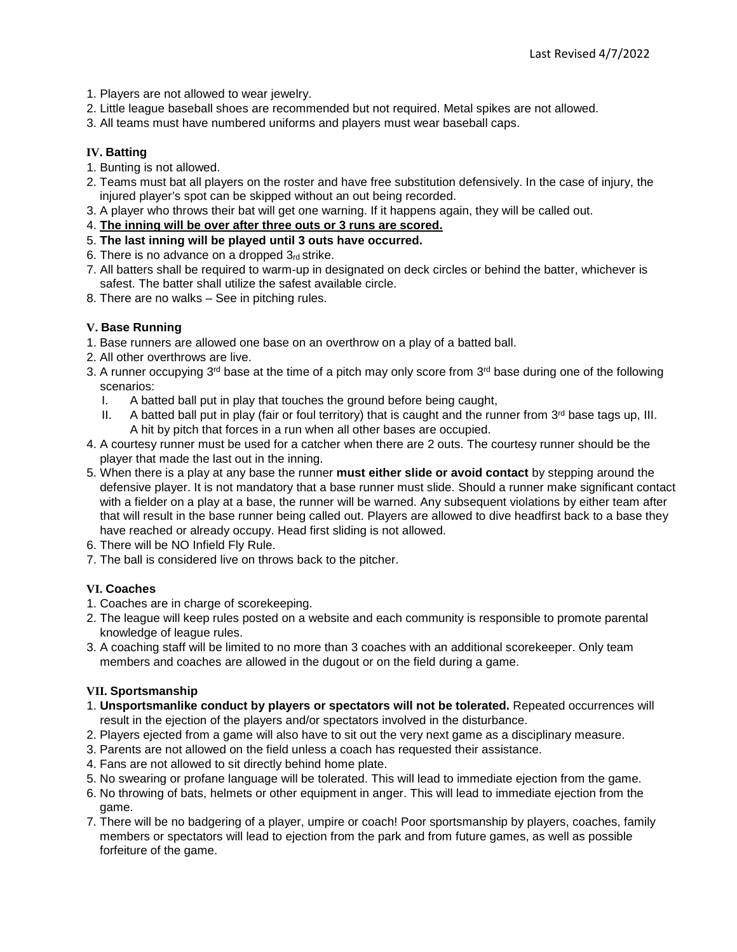- 1. Players are not allowed to wear jewelry.
- 2. Little league baseball shoes are recommended but not required. Metal spikes are not allowed.
- 3. All teams must have numbered uniforms and players must wear baseball caps.

## **IV. Batting**

- 1. Bunting is not allowed.
- 2. Teams must bat all players on the roster and have free substitution defensively. In the case of injury, the injured player's spot can be skipped without an out being recorded.
- 3. A player who throws their bat will get one warning. If it happens again, they will be called out.
- 4. **The inning will be over after three outs or 3 runs are scored.**
- 5. **The last inning will be played until 3 outs have occurred.**
- 6. There is no advance on a dropped  $3<sub>rd</sub>$  strike.
- 7. All batters shall be required to warm-up in designated on deck circles or behind the batter, whichever is safest. The batter shall utilize the safest available circle.
- 8. There are no walks See in pitching rules.

## **V. Base Running**

- 1. Base runners are allowed one base on an overthrow on a play of a batted ball.
- 2. All other overthrows are live.
- 3. A runner occupying  $3<sup>rd</sup>$  base at the time of a pitch may only score from  $3<sup>rd</sup>$  base during one of the following scenarios:
	- I. A batted ball put in play that touches the ground before being caught,
	- II. A batted ball put in play (fair or foul territory) that is caught and the runner from  $3<sup>rd</sup>$  base tags up. III. A hit by pitch that forces in a run when all other bases are occupied.
- 4. A courtesy runner must be used for a catcher when there are 2 outs. The courtesy runner should be the player that made the last out in the inning.
- 5. When there is a play at any base the runner **must either slide or avoid contact** by stepping around the defensive player. It is not mandatory that a base runner must slide. Should a runner make significant contact with a fielder on a play at a base, the runner will be warned. Any subsequent violations by either team after that will result in the base runner being called out. Players are allowed to dive headfirst back to a base they have reached or already occupy. Head first sliding is not allowed.
- 6. There will be NO Infield Fly Rule.
- 7. The ball is considered live on throws back to the pitcher.

#### **VI. Coaches**

- 1. Coaches are in charge of scorekeeping.
- 2. The league will keep rules posted on a website and each community is responsible to promote parental knowledge of league rules.
- 3. A coaching staff will be limited to no more than 3 coaches with an additional scorekeeper. Only team members and coaches are allowed in the dugout or on the field during a game.

#### **VII. Sportsmanship**

- 1. **Unsportsmanlike conduct by players or spectators will not be tolerated.** Repeated occurrences will result in the ejection of the players and/or spectators involved in the disturbance.
- 2. Players ejected from a game will also have to sit out the very next game as a disciplinary measure.
- 3. Parents are not allowed on the field unless a coach has requested their assistance.
- 4. Fans are not allowed to sit directly behind home plate.
- 5. No swearing or profane language will be tolerated. This will lead to immediate ejection from the game.
- 6. No throwing of bats, helmets or other equipment in anger. This will lead to immediate ejection from the game.
- 7. There will be no badgering of a player, umpire or coach! Poor sportsmanship by players, coaches, family members or spectators will lead to ejection from the park and from future games, as well as possible forfeiture of the game.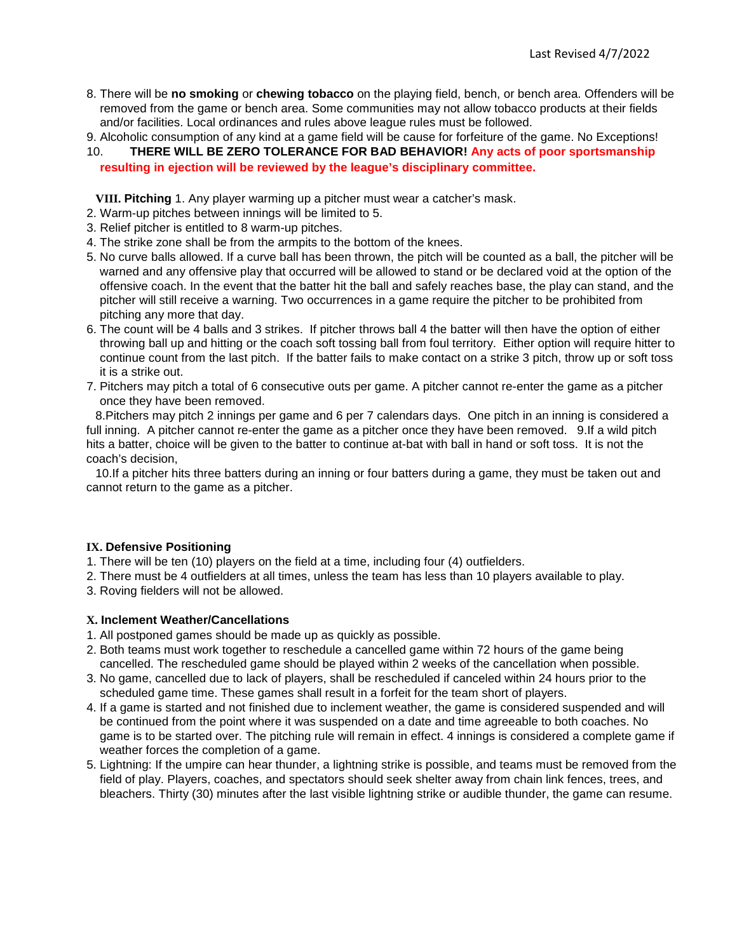- 8. There will be **no smoking** or **chewing tobacco** on the playing field, bench, or bench area. Offenders will be removed from the game or bench area. Some communities may not allow tobacco products at their fields and/or facilities. Local ordinances and rules above league rules must be followed.
- 9. Alcoholic consumption of any kind at a game field will be cause for forfeiture of the game. No Exceptions! 10. **THERE WILL BE ZERO TOLERANCE FOR BAD BEHAVIOR! Any acts of poor sportsmanship resulting in ejection will be reviewed by the league's disciplinary committee.**

**VIII. Pitching** 1. Any player warming up a pitcher must wear a catcher's mask.

- 2. Warm-up pitches between innings will be limited to 5.
- 3. Relief pitcher is entitled to 8 warm-up pitches.
- 4. The strike zone shall be from the armpits to the bottom of the knees.
- 5. No curve balls allowed. If a curve ball has been thrown, the pitch will be counted as a ball, the pitcher will be warned and any offensive play that occurred will be allowed to stand or be declared void at the option of the offensive coach. In the event that the batter hit the ball and safely reaches base, the play can stand, and the pitcher will still receive a warning. Two occurrences in a game require the pitcher to be prohibited from pitching any more that day.
- 6. The count will be 4 balls and 3 strikes. If pitcher throws ball 4 the batter will then have the option of either throwing ball up and hitting or the coach soft tossing ball from foul territory. Either option will require hitter to continue count from the last pitch. If the batter fails to make contact on a strike 3 pitch, throw up or soft toss it is a strike out.
- 7. Pitchers may pitch a total of 6 consecutive outs per game. A pitcher cannot re-enter the game as a pitcher once they have been removed.

8.Pitchers may pitch 2 innings per game and 6 per 7 calendars days. One pitch in an inning is considered a full inning. A pitcher cannot re-enter the game as a pitcher once they have been removed. 9.If a wild pitch hits a batter, choice will be given to the batter to continue at-bat with ball in hand or soft toss. It is not the coach's decision,

10.If a pitcher hits three batters during an inning or four batters during a game, they must be taken out and cannot return to the game as a pitcher.

#### **IX. Defensive Positioning**

1. There will be ten (10) players on the field at a time, including four (4) outfielders.

- 2. There must be 4 outfielders at all times, unless the team has less than 10 players available to play.
- 3. Roving fielders will not be allowed.

#### **X. Inclement Weather/Cancellations**

- 1. All postponed games should be made up as quickly as possible.
- 2. Both teams must work together to reschedule a cancelled game within 72 hours of the game being cancelled. The rescheduled game should be played within 2 weeks of the cancellation when possible.
- 3. No game, cancelled due to lack of players, shall be rescheduled if canceled within 24 hours prior to the scheduled game time. These games shall result in a forfeit for the team short of players.
- 4. If a game is started and not finished due to inclement weather, the game is considered suspended and will be continued from the point where it was suspended on a date and time agreeable to both coaches. No game is to be started over. The pitching rule will remain in effect. 4 innings is considered a complete game if weather forces the completion of a game.
- 5. Lightning: If the umpire can hear thunder, a lightning strike is possible, and teams must be removed from the field of play. Players, coaches, and spectators should seek shelter away from chain link fences, trees, and bleachers. Thirty (30) minutes after the last visible lightning strike or audible thunder, the game can resume.